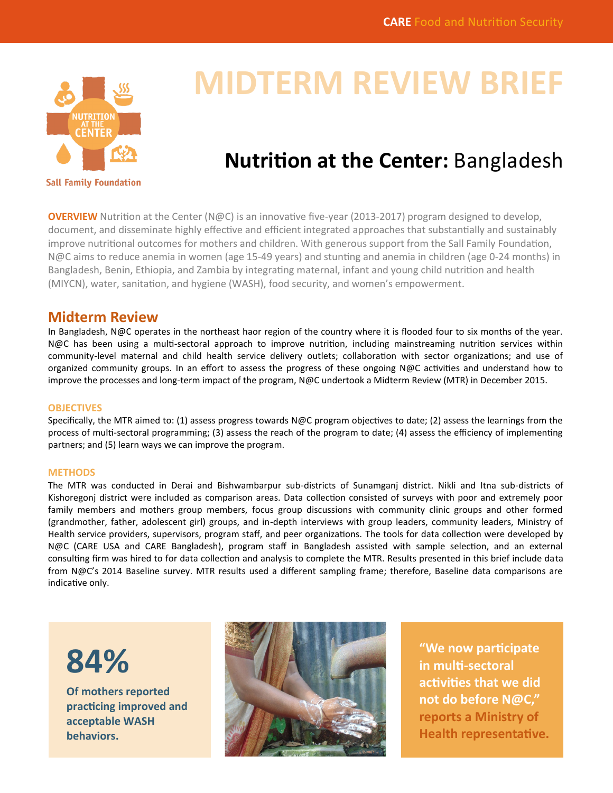

# **MIDTERM REVIEW BRIEF**

# **Nutrition at the Center:** Bangladesh

**OVERVIEW** Nutrition at the Center (N@C) is an innovative five-year (2013-2017) program designed to develop, document, and disseminate highly effective and efficient integrated approaches that substantially and sustainably improve nutritional outcomes for mothers and children. With generous support from the Sall Family Foundation, N@C aims to reduce anemia in women (age 15-49 years) and stunting and anemia in children (age 0-24 months) in Bangladesh, Benin, Ethiopia, and Zambia by integrating maternal, infant and young child nutrition and health (MIYCN), water, sanitation, and hygiene (WASH), food security, and women's empowerment.

## **Midterm Review**

In Bangladesh, N@C operates in the northeast haor region of the country where it is flooded four to six months of the year. N@C has been using a multi-sectoral approach to improve nutrition, including mainstreaming nutrition services within community-level maternal and child health service delivery outlets; collaboration with sector organizations; and use of organized community groups. In an effort to assess the progress of these ongoing N@C activities and understand how to improve the processes and long-term impact of the program, N@C undertook a Midterm Review (MTR) in December 2015.

#### **OBJECTIVES**

Specifically, the MTR aimed to: (1) assess progress towards  $N@C$  program objectives to date; (2) assess the learnings from the process of multi-sectoral programming; (3) assess the reach of the program to date; (4) assess the efficiency of implementing partners; and (5) learn ways we can improve the program.

#### **METHODS**

The MTR was conducted in Derai and Bishwambarpur sub-districts of Sunamganj district. Nikli and Itna sub-districts of Kishoregonj district were included as comparison areas. Data collection consisted of surveys with poor and extremely poor family members and mothers group members, focus group discussions with community clinic groups and other formed (grandmother, father, adolescent girl) groups, and in-depth interviews with group leaders, community leaders, Ministry of Health service providers, supervisors, program staff, and peer organizations. The tools for data collection were developed by N@C (CARE USA and CARE Bangladesh), program staff in Bangladesh assisted with sample selection, and an external consulting firm was hired to for data collection and analysis to complete the MTR. Results presented in this brief include data from N@C's 2014 Baseline survey. MTR results used a different sampling frame; therefore, Baseline data comparisons are indicative only.



**Of mothers reported practicing improved and acceptable WASH behaviors.** 



**"We now participate in multi-sectoral activities that we did not do before N@C," reports a Ministry of Health representative.**